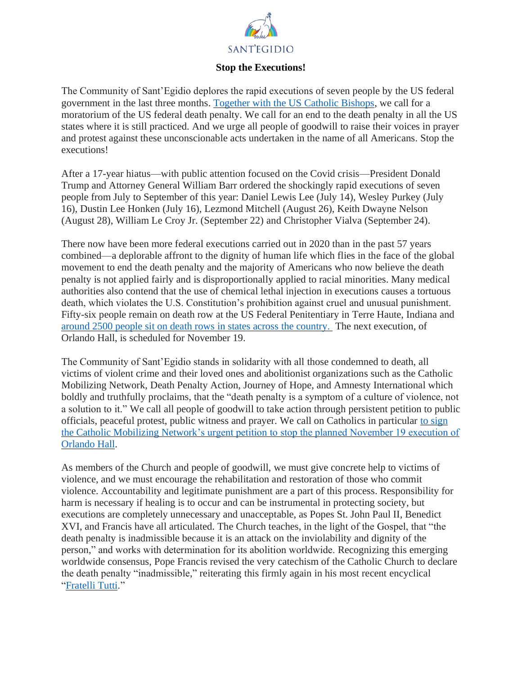

## **Stop the Executions!**

The Community of Sant'Egidio deplores the rapid executions of seven people by the US federal government in the last three months. [Together with the US Catholic Bishops,](https://www.usccb.org/news/2020/us-bishop-chairmen-lament-additional-federal-executions) we call for a moratorium of the US federal death penalty. We call for an end to the death penalty in all the US states where it is still practiced. And we urge all people of goodwill to raise their voices in prayer and protest against these unconscionable acts undertaken in the name of all Americans. Stop the executions!

After a 17-year hiatus—with public attention focused on the Covid crisis—President Donald Trump and Attorney General William Barr ordered the shockingly rapid executions of seven people from July to September of this year: Daniel Lewis Lee (July 14), Wesley Purkey (July 16), Dustin Lee Honken (July 16), Lezmond Mitchell (August 26), Keith Dwayne Nelson (August 28), William Le Croy Jr. (September 22) and Christopher Vialva (September 24).

There now have been more federal executions carried out in 2020 than in the past 57 years combined—a deplorable affront to the dignity of human life which flies in the face of the global movement to end the death penalty and the majority of Americans who now believe the death penalty is not applied fairly and is disproportionally applied to racial minorities. Many medical authorities also contend that the use of chemical lethal injection in executions causes a tortuous death, which violates the U.S. Constitution's prohibition against cruel and unusual punishment. Fifty-six people remain on death row at the US Federal Penitentiary in Terre Haute, Indiana and [around 2500 people sit on death rows in states across the country.](https://deathpenaltyinfo.org/death-row/overview) The next execution, of Orlando Hall, is scheduled for November 19.

The Community of Sant'Egidio stands in solidarity with all those condemned to death, all victims of violent crime and their loved ones and abolitionist organizations such as the Catholic Mobilizing Network, Death Penalty Action, Journey of Hope, and Amnesty International which boldly and truthfully proclaims, that the "death penalty is a symptom of a culture of violence, not a solution to it." We call all people of goodwill to take action through persistent petition to public officials, peaceful protest, public witness and prayer. We call on Catholics in particular [to sign](https://catholicsmobilizing.salsalabs.org/orlandohalltrumpbarraction/index.html)  [the Catholic Mobilizing Network's urgent petition to stop the planned November 19 execution of](https://catholicsmobilizing.salsalabs.org/orlandohalltrumpbarraction/index.html)  [Orlando Hall.](https://catholicsmobilizing.salsalabs.org/orlandohalltrumpbarraction/index.html)

As members of the Church and people of goodwill, we must give concrete help to victims of violence, and we must encourage the rehabilitation and restoration of those who commit violence. Accountability and legitimate punishment are a part of this process. Responsibility for harm is necessary if healing is to occur and can be instrumental in protecting society, but executions are completely unnecessary and unacceptable, as Popes St. John Paul II, Benedict XVI, and Francis have all articulated. The Church teaches, in the light of the Gospel, that "the death penalty is inadmissible because it is an attack on the inviolability and dignity of the person," and works with determination for its abolition worldwide. Recognizing this emerging worldwide consensus, Pope Francis revised the very catechism of the Catholic Church to declare the death penalty "inadmissible," reiterating this firmly again in his most recent encyclical ["Fratelli Tutti.](http://www.vatican.va/content/francesco/en/encyclicals/documents/papa-francesco_20201003_enciclica-fratelli-tutti.html#_ftnref55)"